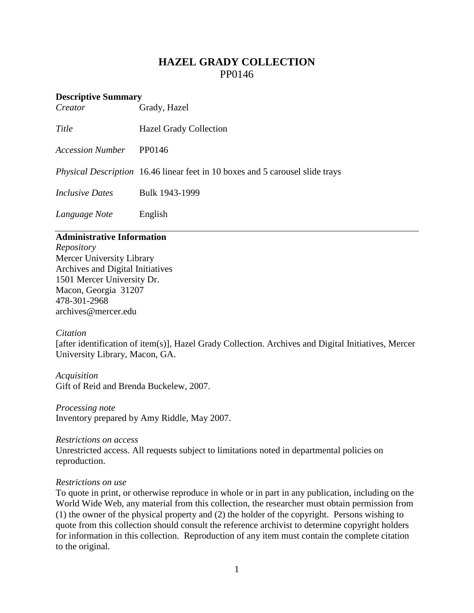# **HAZEL GRADY COLLECTION** PP0146

# **Descriptive Summary**<br>*Creator* (

*Creator* Grady, Hazel

*Title* Hazel Grady Collection

*Accession Number* PP0146

*Physical Description* 16.46 linear feet in 10 boxes and 5 carousel slide trays

*Inclusive Dates* Bulk 1943-1999

*Language Note* English

# **Administrative Information**

*Repository* Mercer University Library Archives and Digital Initiatives 1501 Mercer University Dr. Macon, Georgia 31207 478-301-2968 [archives@mercer.edu](mailto:archives@mercer.edu)

# *Citation*

[after identification of item(s)], Hazel Grady Collection. Archives and Digital Initiatives, Mercer University Library, Macon, GA.

*Acquisition* Gift of Reid and Brenda Buckelew, 2007.

*Processing note* Inventory prepared by Amy Riddle, May 2007.

*Restrictions on access* Unrestricted access. All requests subject to limitations noted in departmental policies on reproduction.

# *Restrictions on use*

To quote in print, or otherwise reproduce in whole or in part in any publication, including on the World Wide Web, any material from this collection, the researcher must obtain permission from (1) the owner of the physical property and (2) the holder of the copyright. Persons wishing to quote from this collection should consult the reference archivist to determine copyright holders for information in this collection. Reproduction of any item must contain the complete citation to the original.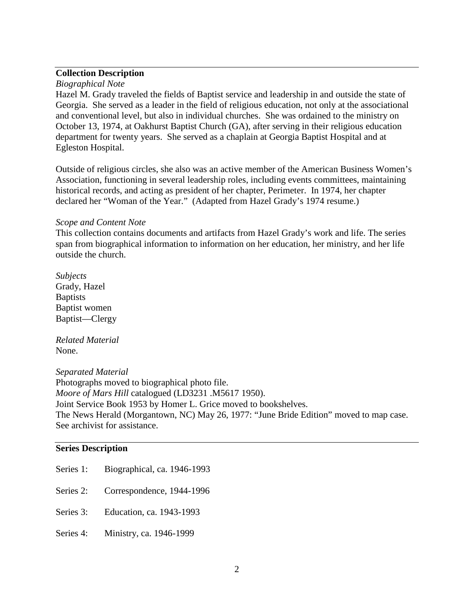# **Collection Description**

#### *Biographical Note*

Hazel M. Grady traveled the fields of Baptist service and leadership in and outside the state of Georgia. She served as a leader in the field of religious education, not only at the associational and conventional level, but also in individual churches. She was ordained to the ministry on October 13, 1974, at Oakhurst Baptist Church (GA), after serving in their religious education department for twenty years. She served as a chaplain at Georgia Baptist Hospital and at Egleston Hospital.

Outside of religious circles, she also was an active member of the American Business Women's Association, functioning in several leadership roles, including events committees, maintaining historical records, and acting as president of her chapter, Perimeter. In 1974, her chapter declared her "Woman of the Year." (Adapted from Hazel Grady's 1974 resume.)

#### *Scope and Content Note*

This collection contains documents and artifacts from Hazel Grady's work and life. The series span from biographical information to information on her education, her ministry, and her life outside the church.

*Subjects* Grady, Hazel **Baptists** Baptist women Baptist—Clergy

*Related Material* None.

*Separated Material* Photographs moved to biographical photo file. *Moore of Mars Hill* catalogued (LD3231 .M5617 1950). Joint Service Book 1953 by Homer L. Grice moved to bookshelves. The News Herald (Morgantown, NC) May 26, 1977: "June Bride Edition" moved to map case. See archivist for assistance.

# **Series Description**

| Series 1: | Biographical, ca. 1946-1993        |
|-----------|------------------------------------|
| Series 2: | Correspondence, 1944-1996          |
|           | Series 3: Education, ca. 1943-1993 |
| Series 4: | Ministry, ca. 1946-1999            |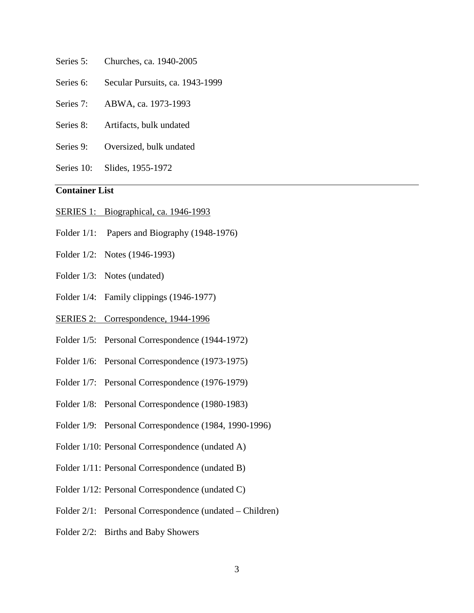- Series 5: Churches, ca. 1940-2005
- Series 6: Secular Pursuits, ca. 1943-1999
- Series 7: ABWA, ca. 1973-1993
- Series 8: Artifacts, bulk undated
- Series 9: Oversized, bulk undated
- Series 10: Slides, 1955-1972

# **Container List**

- SERIES 1: Biographical, ca. 1946-1993
- Folder  $1/1$ : Papers and Biography (1948-1976)
- Folder 1/2: Notes (1946-1993)
- Folder 1/3: Notes (undated)
- Folder 1/4: Family clippings (1946-1977)
- SERIES 2: Correspondence, 1944-1996
- Folder 1/5: Personal Correspondence (1944-1972)
- Folder 1/6: Personal Correspondence (1973-1975)
- Folder 1/7: Personal Correspondence (1976-1979)
- Folder 1/8: Personal Correspondence (1980-1983)
- Folder 1/9: Personal Correspondence (1984, 1990-1996)
- Folder 1/10: Personal Correspondence (undated A)
- Folder 1/11: Personal Correspondence (undated B)
- Folder 1/12: Personal Correspondence (undated C)
- Folder 2/1: Personal Correspondence (undated Children)
- Folder 2/2: Births and Baby Showers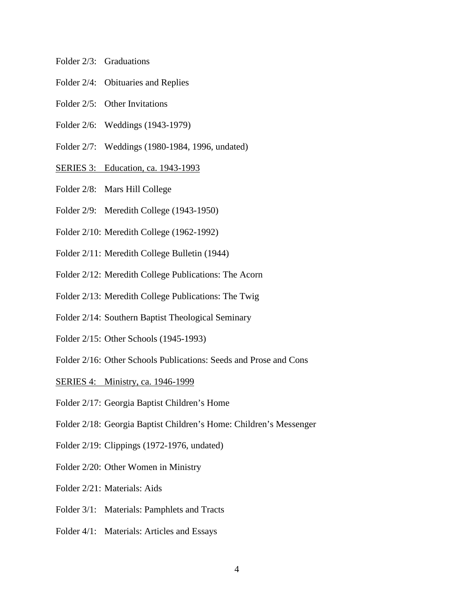- Folder 2/3: Graduations
- Folder 2/4: Obituaries and Replies
- Folder 2/5: Other Invitations
- Folder 2/6: Weddings (1943-1979)
- Folder 2/7: Weddings (1980-1984, 1996, undated)
- SERIES 3: Education, ca. 1943-1993
- Folder 2/8: Mars Hill College
- Folder 2/9: Meredith College (1943-1950)
- Folder 2/10: Meredith College (1962-1992)
- Folder 2/11: Meredith College Bulletin (1944)
- Folder 2/12: Meredith College Publications: The Acorn
- Folder 2/13: Meredith College Publications: The Twig
- Folder 2/14: Southern Baptist Theological Seminary
- Folder 2/15: Other Schools (1945-1993)
- Folder 2/16: Other Schools Publications: Seeds and Prose and Cons
- SERIES 4: Ministry, ca. 1946-1999
- Folder 2/17: Georgia Baptist Children's Home
- Folder 2/18: Georgia Baptist Children's Home: Children's Messenger
- Folder 2/19: Clippings (1972-1976, undated)
- Folder 2/20: Other Women in Ministry
- Folder 2/21: Materials: Aids
- Folder 3/1: Materials: Pamphlets and Tracts
- Folder 4/1: Materials: Articles and Essays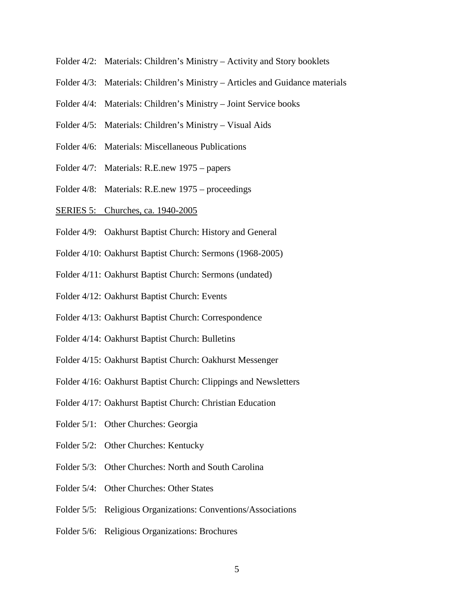- Folder 4/2: Materials: Children's Ministry Activity and Story booklets
- Folder 4/3: Materials: Children's Ministry Articles and Guidance materials
- Folder 4/4: Materials: Children's Ministry Joint Service books
- Folder 4/5: Materials: Children's Ministry Visual Aids
- Folder 4/6: Materials: Miscellaneous Publications
- Folder 4/7: Materials: R.E.new 1975 papers
- Folder 4/8: Materials: R.E.new 1975 proceedings
- SERIES 5: Churches, ca. 1940-2005
- Folder 4/9: Oakhurst Baptist Church: History and General
- Folder 4/10: Oakhurst Baptist Church: Sermons (1968-2005)
- Folder 4/11: Oakhurst Baptist Church: Sermons (undated)
- Folder 4/12: Oakhurst Baptist Church: Events
- Folder 4/13: Oakhurst Baptist Church: Correspondence
- Folder 4/14: Oakhurst Baptist Church: Bulletins
- Folder 4/15: Oakhurst Baptist Church: Oakhurst Messenger
- Folder 4/16: Oakhurst Baptist Church: Clippings and Newsletters
- Folder 4/17: Oakhurst Baptist Church: Christian Education
- Folder 5/1: Other Churches: Georgia
- Folder 5/2: Other Churches: Kentucky
- Folder 5/3: Other Churches: North and South Carolina
- Folder 5/4: Other Churches: Other States
- Folder 5/5: Religious Organizations: Conventions/Associations
- Folder 5/6: Religious Organizations: Brochures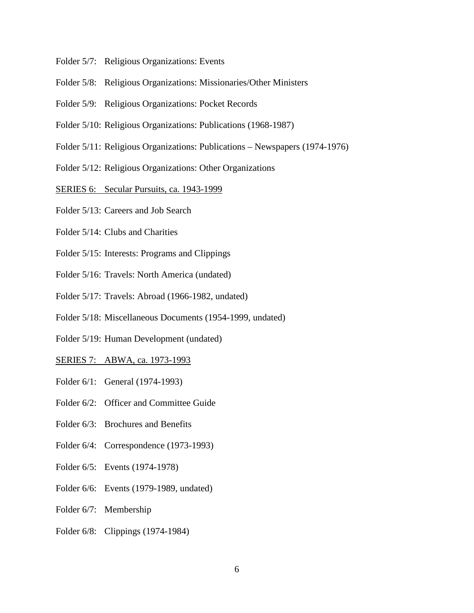- Folder 5/7: Religious Organizations: Events
- Folder 5/8: Religious Organizations: Missionaries/Other Ministers
- Folder 5/9: Religious Organizations: Pocket Records
- Folder 5/10: Religious Organizations: Publications (1968-1987)
- Folder 5/11: Religious Organizations: Publications Newspapers (1974-1976)
- Folder 5/12: Religious Organizations: Other Organizations
- SERIES 6: Secular Pursuits, ca. 1943-1999
- Folder 5/13: Careers and Job Search
- Folder 5/14: Clubs and Charities
- Folder 5/15: Interests: Programs and Clippings
- Folder 5/16: Travels: North America (undated)
- Folder 5/17: Travels: Abroad (1966-1982, undated)
- Folder 5/18: Miscellaneous Documents (1954-1999, undated)
- Folder 5/19: Human Development (undated)
- SERIES 7: ABWA, ca. 1973-1993
- Folder 6/1: General (1974-1993)
- Folder 6/2: Officer and Committee Guide
- Folder 6/3: Brochures and Benefits
- Folder 6/4: Correspondence (1973-1993)
- Folder 6/5: Events (1974-1978)
- Folder 6/6: Events (1979-1989, undated)
- Folder 6/7: Membership
- Folder 6/8: Clippings (1974-1984)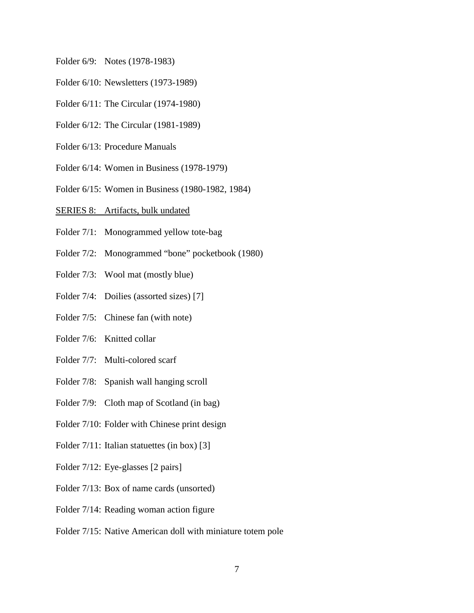- Folder 6/9: Notes (1978-1983)
- Folder 6/10: Newsletters (1973-1989)
- Folder 6/11: The Circular (1974-1980)
- Folder 6/12: The Circular (1981-1989)
- Folder 6/13: Procedure Manuals
- Folder 6/14: Women in Business (1978-1979)
- Folder 6/15: Women in Business (1980-1982, 1984)

#### SERIES 8: Artifacts, bulk undated

- Folder 7/1: Monogrammed yellow tote-bag
- Folder 7/2: Monogrammed "bone" pocketbook (1980)
- Folder 7/3: Wool mat (mostly blue)
- Folder 7/4: Doilies (assorted sizes) [7]
- Folder 7/5: Chinese fan (with note)
- Folder 7/6: Knitted collar
- Folder 7/7: Multi-colored scarf
- Folder 7/8: Spanish wall hanging scroll
- Folder 7/9: Cloth map of Scotland (in bag)
- Folder 7/10: Folder with Chinese print design
- Folder 7/11: Italian statuettes (in box) [3]
- Folder 7/12: Eye-glasses [2 pairs]
- Folder 7/13: Box of name cards (unsorted)
- Folder 7/14: Reading woman action figure
- Folder 7/15: Native American doll with miniature totem pole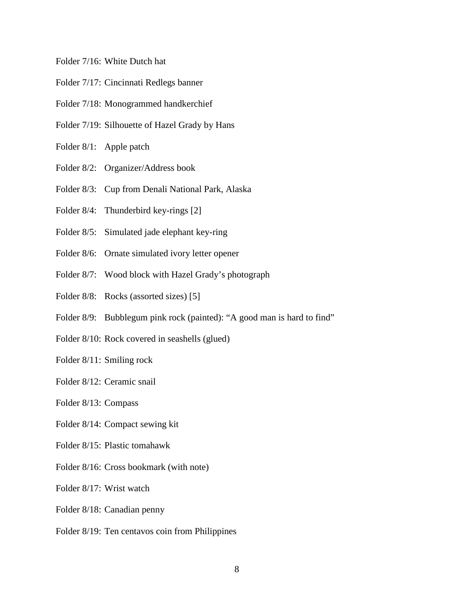#### Folder 7/16: White Dutch hat

- Folder 7/17: Cincinnati Redlegs banner
- Folder 7/18: Monogrammed handkerchief
- Folder 7/19: Silhouette of Hazel Grady by Hans
- Folder 8/1: Apple patch
- Folder 8/2: Organizer/Address book
- Folder 8/3: Cup from Denali National Park, Alaska
- Folder 8/4: Thunderbird key-rings [2]
- Folder 8/5: Simulated jade elephant key-ring
- Folder 8/6: Ornate simulated ivory letter opener
- Folder 8/7: Wood block with Hazel Grady's photograph
- Folder 8/8: Rocks (assorted sizes) [5]
- Folder 8/9: Bubblegum pink rock (painted): "A good man is hard to find"
- Folder 8/10: Rock covered in seashells (glued)
- Folder 8/11: Smiling rock
- Folder 8/12: Ceramic snail
- Folder 8/13: Compass
- Folder 8/14: Compact sewing kit
- Folder 8/15: Plastic tomahawk
- Folder 8/16: Cross bookmark (with note)
- Folder 8/17: Wrist watch
- Folder 8/18: Canadian penny
- Folder 8/19: Ten centavos coin from Philippines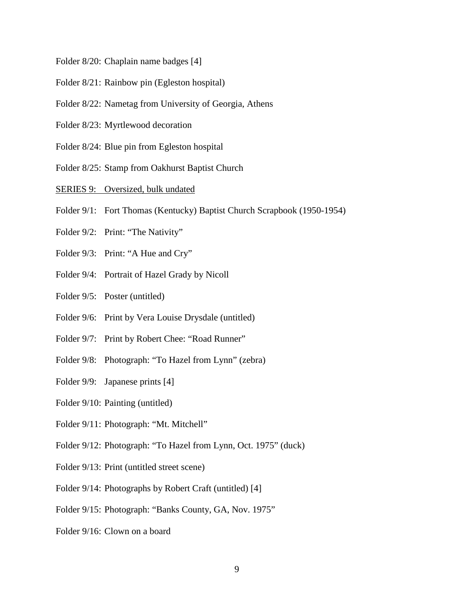- Folder 8/20: Chaplain name badges [4]
- Folder 8/21: Rainbow pin (Egleston hospital)
- Folder 8/22: Nametag from University of Georgia, Athens
- Folder 8/23: Myrtlewood decoration
- Folder 8/24: Blue pin from Egleston hospital
- Folder 8/25: Stamp from Oakhurst Baptist Church
- SERIES 9: Oversized, bulk undated
- Folder 9/1: Fort Thomas (Kentucky) Baptist Church Scrapbook (1950-1954)
- Folder 9/2: Print: "The Nativity"
- Folder 9/3: Print: "A Hue and Cry"
- Folder 9/4: Portrait of Hazel Grady by Nicoll
- Folder 9/5: Poster (untitled)
- Folder 9/6: Print by Vera Louise Drysdale (untitled)
- Folder 9/7: Print by Robert Chee: "Road Runner"
- Folder 9/8: Photograph: "To Hazel from Lynn" (zebra)
- Folder 9/9: Japanese prints [4]
- Folder 9/10: Painting (untitled)
- Folder 9/11: Photograph: "Mt. Mitchell"
- Folder 9/12: Photograph: "To Hazel from Lynn, Oct. 1975" (duck)
- Folder 9/13: Print (untitled street scene)
- Folder 9/14: Photographs by Robert Craft (untitled) [4]
- Folder 9/15: Photograph: "Banks County, GA, Nov. 1975"
- Folder 9/16: Clown on a board